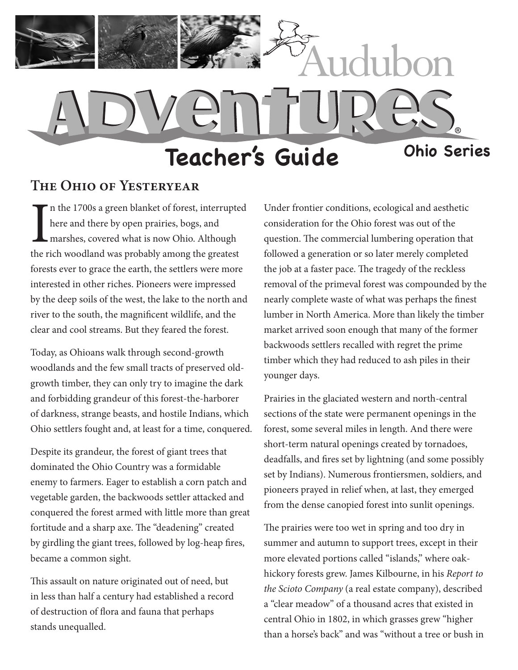

## **The Ohio of Yesteryear**

In the 1700s a green blanket of forest, interrupte<br>here and there by open prairies, bogs, and<br>marshes, covered what is now Ohio. Although<br>the rich woodland was probably among the greatest n the 1700s a green blanket of forest, interrupted here and there by open prairies, bogs, and marshes, covered what is now Ohio. Although forests ever to grace the earth, the settlers were more interested in other riches. Pioneers were impressed by the deep soils of the west, the lake to the north and river to the south, the magnificent wildlife, and the clear and cool streams. But they feared the forest.

Today, as Ohioans walk through second-growth woodlands and the few small tracts of preserved oldgrowth timber, they can only try to imagine the dark and forbidding grandeur of this forest-the-harborer of darkness, strange beasts, and hostile Indians, which Ohio settlers fought and, at least for a time, conquered.

Despite its grandeur, the forest of giant trees that dominated the Ohio Country was a formidable enemy to farmers. Eager to establish a corn patch and vegetable garden, the backwoods settler attacked and conquered the forest armed with little more than great fortitude and a sharp axe. The "deadening" created by girdling the giant trees, followed by log-heap fires, became a common sight.

This assault on nature originated out of need, but in less than half a century had established a record of destruction of flora and fauna that perhaps stands unequalled.

Under frontier conditions, ecological and aesthetic consideration for the Ohio forest was out of the question. The commercial lumbering operation that followed a generation or so later merely completed the job at a faster pace. The tragedy of the reckless removal of the primeval forest was compounded by the nearly complete waste of what was perhaps the finest lumber in North America. More than likely the timber market arrived soon enough that many of the former backwoods settlers recalled with regret the prime timber which they had reduced to ash piles in their younger days.

Prairies in the glaciated western and north-central sections of the state were permanent openings in the forest, some several miles in length. And there were short-term natural openings created by tornadoes, deadfalls, and fires set by lightning (and some possibly set by Indians). Numerous frontiersmen, soldiers, and pioneers prayed in relief when, at last, they emerged from the dense canopied forest into sunlit openings.

The prairies were too wet in spring and too dry in summer and autumn to support trees, except in their more elevated portions called "islands," where oakhickory forests grew. James Kilbourne, in his *Report to the Scioto Company* (a real estate company), described a "clear meadow" of a thousand acres that existed in central Ohio in 1802, in which grasses grew "higher than a horse's back" and was "without a tree or bush in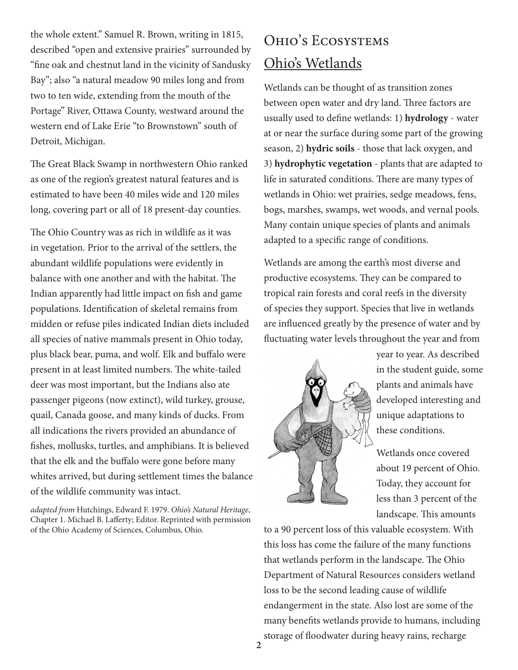the whole extent." Samuel R. Brown, writing in 1815, described "open and extensive prairies" surrounded by "fine oak and chestnut land in the vicinity of Sandusky Bay"; also "a natural meadow 90 miles long and from two to ten wide, extending from the mouth of the Portage" River, Ottawa County, westward around the western end of Lake Erie "to Brownstown" south of Detroit, Michigan.

The Great Black Swamp in northwestern Ohio ranked as one of the region's greatest natural features and is estimated to have been 40 miles wide and 120 miles long, covering part or all of 18 present-day counties.

The Ohio Country was as rich in wildlife as it was in vegetation. Prior to the arrival of the settlers, the abundant wildlife populations were evidently in balance with one another and with the habitat. The Indian apparently had little impact on fish and game populations. Identification of skeletal remains from midden or refuse piles indicated Indian diets included all species of native mammals present in Ohio today, plus black bear, puma, and wolf. Elk and buffalo were present in at least limited numbers. The white-tailed deer was most important, but the Indians also ate passenger pigeons (now extinct), wild turkey, grouse, quail, Canada goose, and many kinds of ducks. From all indications the rivers provided an abundance of fishes, mollusks, turtles, and amphibians. It is believed that the elk and the buffalo were gone before many whites arrived, but during settlement times the balance of the wildlife community was intact.

*adapted from* Hutchings, Edward F. 1979. *Ohio's Natural Heritage*, Chapter 1. Michael B. Lafferty; Editor. Reprinted with permission of the Ohio Academy of Sciences, Columbus, Ohio.

# Ohio's Ecosystems Ohio's Wetlands

Wetlands can be thought of as transition zones between open water and dry land. Three factors are usually used to define wetlands: 1) **hydrology** - water at or near the surface during some part of the growing season, 2) **hydric soils** - those that lack oxygen, and 3) **hydrophytic vegetation** - plants that are adapted to life in saturated conditions. There are many types of wetlands in Ohio: wet prairies, sedge meadows, fens, bogs, marshes, swamps, wet woods, and vernal pools. Many contain unique species of plants and animals adapted to a specific range of conditions.

Wetlands are among the earth's most diverse and productive ecosystems. They can be compared to tropical rain forests and coral reefs in the diversity of species they support. Species that live in wetlands are influenced greatly by the presence of water and by fluctuating water levels throughout the year and from



year to year. As described in the student guide, some plants and animals have developed interesting and unique adaptations to these conditions.

Wetlands once covered about 19 percent of Ohio. Today, they account for less than 3 percent of the landscape. This amounts

to a 90 percent loss of this valuable ecosystem. With this loss has come the failure of the many functions that wetlands perform in the landscape. The Ohio Department of Natural Resources considers wetland loss to be the second leading cause of wildlife endangerment in the state. Also lost are some of the many benefits wetlands provide to humans, including storage of floodwater during heavy rains, recharge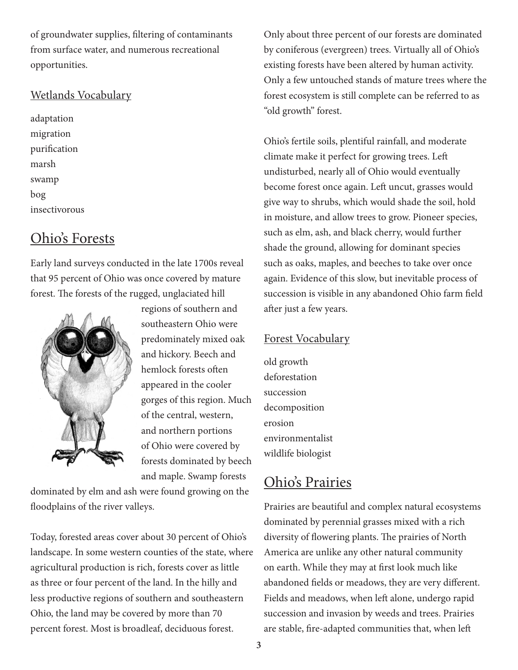of groundwater supplies, filtering of contaminants from surface water, and numerous recreational opportunities.

## Wetlands Vocabulary

adaptation migration purification marsh swamp bog insectivorous

## Ohio's Forests

Early land surveys conducted in the late 1700s reveal that 95 percent of Ohio was once covered by mature forest. The forests of the rugged, unglaciated hill



regions of southern and southeastern Ohio were predominately mixed oak and hickory. Beech and hemlock forests often appeared in the cooler gorges of this region. Much of the central, western, and northern portions of Ohio were covered by forests dominated by beech and maple. Swamp forests

dominated by elm and ash were found growing on the floodplains of the river valleys.

Today, forested areas cover about 30 percent of Ohio's landscape. In some western counties of the state, where agricultural production is rich, forests cover as little as three or four percent of the land. In the hilly and less productive regions of southern and southeastern Ohio, the land may be covered by more than 70 percent forest. Most is broadleaf, deciduous forest.

Only about three percent of our forests are dominated by coniferous (evergreen) trees. Virtually all of Ohio's existing forests have been altered by human activity. Only a few untouched stands of mature trees where the forest ecosystem is still complete can be referred to as "old growth" forest.

Ohio's fertile soils, plentiful rainfall, and moderate climate make it perfect for growing trees. Left undisturbed, nearly all of Ohio would eventually become forest once again. Left uncut, grasses would give way to shrubs, which would shade the soil, hold in moisture, and allow trees to grow. Pioneer species, such as elm, ash, and black cherry, would further shade the ground, allowing for dominant species such as oaks, maples, and beeches to take over once again. Evidence of this slow, but inevitable process of succession is visible in any abandoned Ohio farm field after just a few years.

## Forest Vocabulary

old growth deforestation succession decomposition erosion environmentalist wildlife biologist

## Ohio's Prairies

Prairies are beautiful and complex natural ecosystems dominated by perennial grasses mixed with a rich diversity of flowering plants. The prairies of North America are unlike any other natural community on earth. While they may at first look much like abandoned fields or meadows, they are very different. Fields and meadows, when left alone, undergo rapid succession and invasion by weeds and trees. Prairies are stable, fire-adapted communities that, when left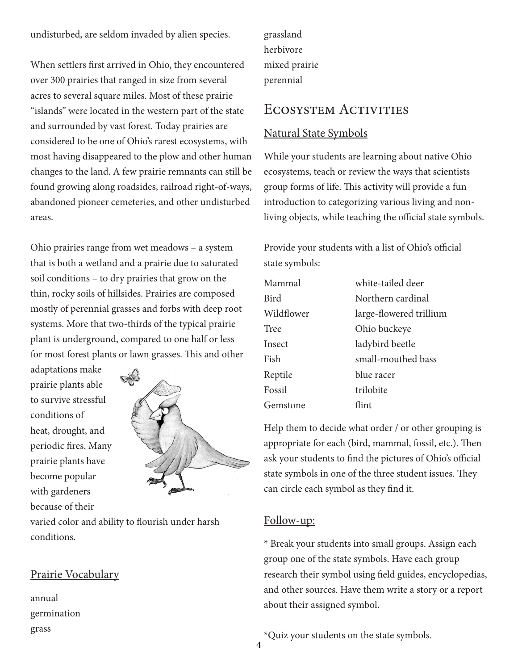undisturbed, are seldom invaded by alien species.

When settlers first arrived in Ohio, they encountered over 300 prairies that ranged in size from several acres to several square miles. Most of these prairie "islands" were located in the western part of the state and surrounded by vast forest. Today prairies are considered to be one of Ohio's rarest ecosystems, with most having disappeared to the plow and other human changes to the land. A few prairie remnants can still be found growing along roadsides, railroad right-of-ways, abandoned pioneer cemeteries, and other undisturbed areas.

Ohio prairies range from wet meadows – a system that is both a wetland and a prairie due to saturated soil conditions – to dry prairies that grow on the thin, rocky soils of hillsides. Prairies are composed mostly of perennial grasses and forbs with deep root systems. More that two-thirds of the typical prairie plant is underground, compared to one half or less for most forest plants or lawn grasses. This and other

adaptations make prairie plants able to survive stressful conditions of heat, drought, and periodic fires. Many prairie plants have become popular with gardeners because of their



varied color and ability to flourish under harsh conditions.

## Prairie Vocabulary

annual germination grass

grassland herbivore mixed prairie perennial

## Ecosystem Activities

#### Natural State Symbols

While your students are learning about native Ohio ecosystems, teach or review the ways that scientists group forms of life. This activity will provide a fun introduction to categorizing various living and nonliving objects, while teaching the official state symbols.

Provide your students with a list of Ohio's official state symbols:

| Mammal     | white-tailed deer       |
|------------|-------------------------|
| Bird       | Northern cardinal       |
| Wildflower | large-flowered trillium |
| Tree       | Ohio buckeye            |
| Insect     | ladybird beetle         |
| Fish       | small-mouthed bass      |
| Reptile    | blue racer              |
| Fossil     | trilobite               |
| Gemstone   | flint                   |

Help them to decide what order / or other grouping is appropriate for each (bird, mammal, fossil, etc.). Then ask your students to find the pictures of Ohio's official state symbols in one of the three student issues. They can circle each symbol as they find it.

#### Follow-up:

\* Break your students into small groups. Assign each group one of the state symbols. Have each group research their symbol using field guides, encyclopedias, and other sources. Have them write a story or a report about their assigned symbol.

\*Quiz your students on the state symbols.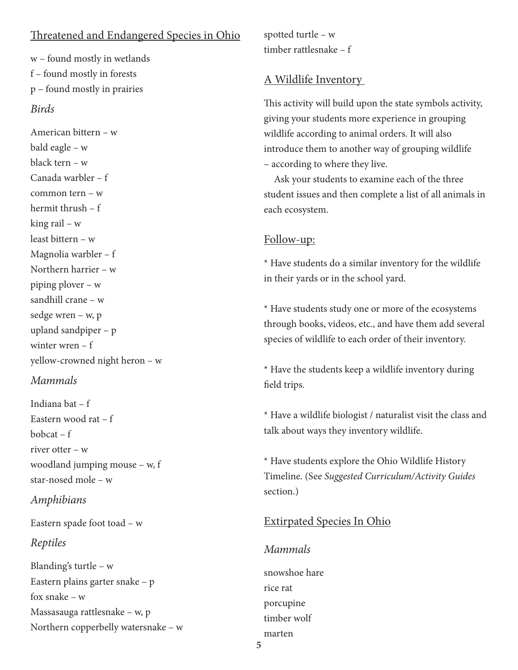## Threatened and Endangered Species in Ohio

w – found mostly in wetlands f – found mostly in forests p – found mostly in prairies *Birds*

American bittern – w bald eagle – w black tern – w Canada warbler – f common tern – w hermit thrush – f king rail – w least bittern – w Magnolia warbler – f Northern harrier – w piping plover – w sandhill crane – w sedge wren – w, p upland sandpiper – p winter wren – f yellow-crowned night heron – w

#### *Mammals*

Indiana bat – f Eastern wood rat – f bobcat – f river otter – w woodland jumping mouse – w, f star-nosed mole – w

#### *Amphibians*

Eastern spade foot toad – w

#### *Reptiles*

Blanding's turtle – w Eastern plains garter snake – p fox snake – w Massasauga rattlesnake – w, p Northern copperbelly watersnake – w spotted turtle – w timber rattlesnake – f

## A Wildlife Inventory

This activity will build upon the state symbols activity, giving your students more experience in grouping wildlife according to animal orders. It will also introduce them to another way of grouping wildlife – according to where they live.

Ask your students to examine each of the three student issues and then complete a list of all animals in each ecosystem.

#### Follow-up:

\* Have students do a similar inventory for the wildlife in their yards or in the school yard.

\* Have students study one or more of the ecosystems through books, videos, etc., and have them add several species of wildlife to each order of their inventory.

\* Have the students keep a wildlife inventory during field trips.

\* Have a wildlife biologist / naturalist visit the class and talk about ways they inventory wildlife.

\* Have students explore the Ohio Wildlife History Timeline. (See *Suggested Curriculum/Activity Guides* section.)

## Extirpated Species In Ohio

#### *Mammals*

snowshoe hare rice rat porcupine timber wolf marten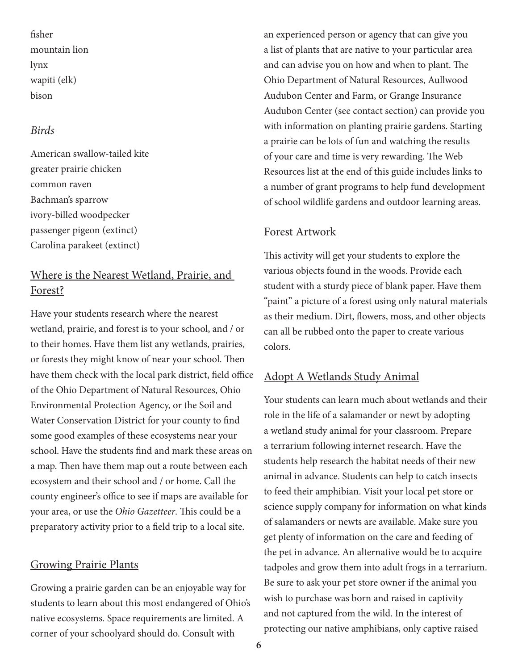fisher mountain lion lynx wapiti (elk) bison

### *Birds*

American swallow-tailed kite greater prairie chicken common raven Bachman's sparrow ivory-billed woodpecker passenger pigeon (extinct) Carolina parakeet (extinct)

## Where is the Nearest Wetland, Prairie, and Forest?

Have your students research where the nearest wetland, prairie, and forest is to your school, and / or to their homes. Have them list any wetlands, prairies, or forests they might know of near your school. Then have them check with the local park district, field office of the Ohio Department of Natural Resources, Ohio Environmental Protection Agency, or the Soil and Water Conservation District for your county to find some good examples of these ecosystems near your school. Have the students find and mark these areas on a map. Then have them map out a route between each ecosystem and their school and / or home. Call the county engineer's office to see if maps are available for your area, or use the *Ohio Gazetteer*. This could be a preparatory activity prior to a field trip to a local site.

#### Growing Prairie Plants

Growing a prairie garden can be an enjoyable way for students to learn about this most endangered of Ohio's native ecosystems. Space requirements are limited. A corner of your schoolyard should do. Consult with

an experienced person or agency that can give you a list of plants that are native to your particular area and can advise you on how and when to plant. The Ohio Department of Natural Resources, Aullwood Audubon Center and Farm, or Grange Insurance Audubon Center (see contact section) can provide you with information on planting prairie gardens. Starting a prairie can be lots of fun and watching the results of your care and time is very rewarding. The Web Resources list at the end of this guide includes links to a number of grant programs to help fund development of school wildlife gardens and outdoor learning areas.

#### Forest Artwork

This activity will get your students to explore the various objects found in the woods. Provide each student with a sturdy piece of blank paper. Have them "paint" a picture of a forest using only natural materials as their medium. Dirt, flowers, moss, and other objects can all be rubbed onto the paper to create various colors.

#### Adopt A Wetlands Study Animal

Your students can learn much about wetlands and their role in the life of a salamander or newt by adopting a wetland study animal for your classroom. Prepare a terrarium following internet research. Have the students help research the habitat needs of their new animal in advance. Students can help to catch insects to feed their amphibian. Visit your local pet store or science supply company for information on what kinds of salamanders or newts are available. Make sure you get plenty of information on the care and feeding of the pet in advance. An alternative would be to acquire tadpoles and grow them into adult frogs in a terrarium. Be sure to ask your pet store owner if the animal you wish to purchase was born and raised in captivity and not captured from the wild. In the interest of protecting our native amphibians, only captive raised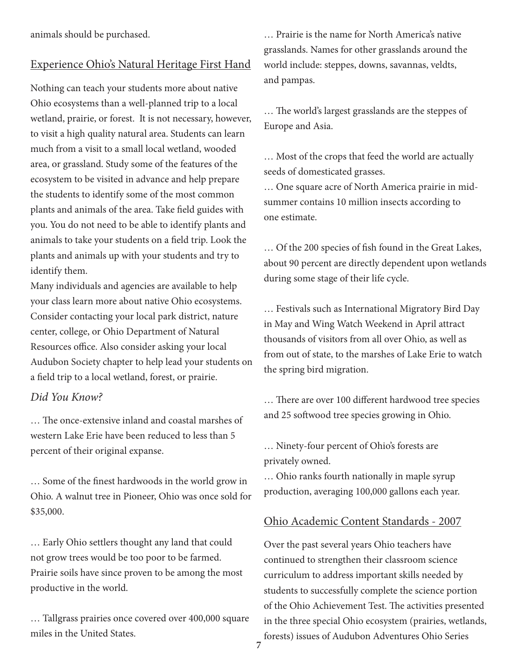animals should be purchased.

#### Experience Ohio's Natural Heritage First Hand

Nothing can teach your students more about native Ohio ecosystems than a well-planned trip to a local wetland, prairie, or forest. It is not necessary, however, to visit a high quality natural area. Students can learn much from a visit to a small local wetland, wooded area, or grassland. Study some of the features of the ecosystem to be visited in advance and help prepare the students to identify some of the most common plants and animals of the area. Take field guides with you. You do not need to be able to identify plants and animals to take your students on a field trip. Look the plants and animals up with your students and try to identify them.

Many individuals and agencies are available to help your class learn more about native Ohio ecosystems. Consider contacting your local park district, nature center, college, or Ohio Department of Natural Resources office. Also consider asking your local Audubon Society chapter to help lead your students on a field trip to a local wetland, forest, or prairie.

#### *Did You Know?*

… The once-extensive inland and coastal marshes of western Lake Erie have been reduced to less than 5 percent of their original expanse.

… Some of the finest hardwoods in the world grow in Ohio. A walnut tree in Pioneer, Ohio was once sold for \$35,000.

… Early Ohio settlers thought any land that could not grow trees would be too poor to be farmed. Prairie soils have since proven to be among the most productive in the world.

… Tallgrass prairies once covered over 400,000 square miles in the United States.

… Prairie is the name for North America's native grasslands. Names for other grasslands around the world include: steppes, downs, savannas, veldts, and pampas.

… The world's largest grasslands are the steppes of Europe and Asia.

… Most of the crops that feed the world are actually seeds of domesticated grasses.

… One square acre of North America prairie in midsummer contains 10 million insects according to one estimate.

… Of the 200 species of fish found in the Great Lakes, about 90 percent are directly dependent upon wetlands during some stage of their life cycle.

… Festivals such as International Migratory Bird Day in May and Wing Watch Weekend in April attract thousands of visitors from all over Ohio, as well as from out of state, to the marshes of Lake Erie to watch the spring bird migration.

… There are over 100 different hardwood tree species and 25 softwood tree species growing in Ohio.

… Ninety-four percent of Ohio's forests are privately owned.

… Ohio ranks fourth nationally in maple syrup production, averaging 100,000 gallons each year.

#### Ohio Academic Content Standards - 2007

Over the past several years Ohio teachers have continued to strengthen their classroom science curriculum to address important skills needed by students to successfully complete the science portion of the Ohio Achievement Test. The activities presented in the three special Ohio ecosystem (prairies, wetlands, forests) issues of Audubon Adventures Ohio Series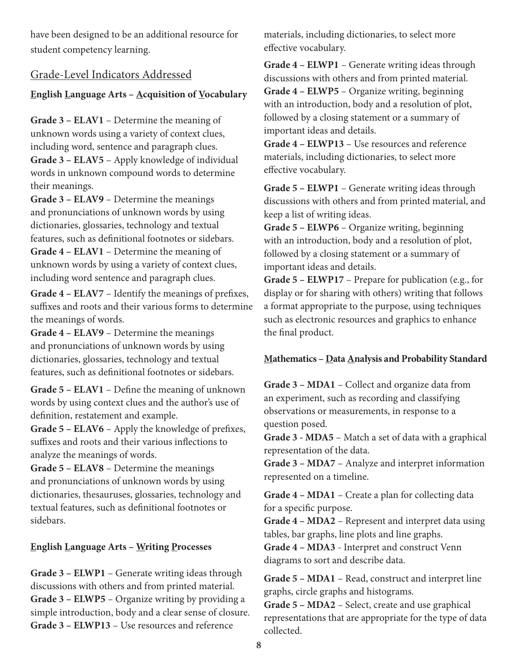have been designed to be an additional resource for student competency learning.

## Grade-Level Indicators Addressed

### **English Language Arts - Acquisition of Vocabulary**

**Grade 3 – ELAV1** – Determine the meaning of unknown words using a variety of context clues, including word, sentence and paragraph clues.

**Grade 3 – ELAV5** – Apply knowledge of individual words in unknown compound words to determine their meanings.

**Grade 3 – ELAV9** – Determine the meanings and pronunciations of unknown words by using dictionaries, glossaries, technology and textual features, such as definitional footnotes or sidebars. **Grade 4 – ELAV1** – Determine the meaning of unknown words by using a variety of context clues, including word sentence and paragraph clues.

**Grade 4 – ELAV7** – Identify the meanings of prefixes, suffixes and roots and their various forms to determine the meanings of words.

**Grade 4 – ELAV9** – Determine the meanings and pronunciations of unknown words by using dictionaries, glossaries, technology and textual features, such as definitional footnotes or sidebars.

**Grade 5 – ELAV1** – Define the meaning of unknown words by using context clues and the author's use of definition, restatement and example.

**Grade 5 – ELAV6** – Apply the knowledge of prefixes, suffixes and roots and their various inflections to analyze the meanings of words.

**Grade 5 – ELAV8** – Determine the meanings and pronunciations of unknown words by using dictionaries, thesauruses, glossaries, technology and textual features, such as definitional footnotes or sidebars.

#### **English Language Arts – Writing Processes**

**Grade 3 – ELWP1** – Generate writing ideas through discussions with others and from printed material. **Grade 3 – ELWP5** – Organize writing by providing a simple introduction, body and a clear sense of closure. **Grade 3 – ELWP13** – Use resources and reference

materials, including dictionaries, to select more effective vocabulary.

**Grade 4 – ELWP1** – Generate writing ideas through discussions with others and from printed material. **Grade 4 – ELWP5** – Organize writing, beginning with an introduction, body and a resolution of plot, followed by a closing statement or a summary of important ideas and details.

**Grade 4 – ELWP13** – Use resources and reference materials, including dictionaries, to select more effective vocabulary.

**Grade 5 – ELWP1** – Generate writing ideas through discussions with others and from printed material, and keep a list of writing ideas.

**Grade 5 – ELWP6** – Organize writing, beginning with an introduction, body and a resolution of plot, followed by a closing statement or a summary of important ideas and details.

**Grade 5 – ELWP17** – Prepare for publication (e.g., for display or for sharing with others) writing that follows a format appropriate to the purpose, using techniques such as electronic resources and graphics to enhance the final product.

#### **Mathematics – Data Analysis and Probability Standard**

**Grade 3 – MDA1** – Collect and organize data from an experiment, such as recording and classifying observations or measurements, in response to a question posed.

**Grade 3 - MDA5** – Match a set of data with a graphical representation of the data.

**Grade 3 – MDA7** – Analyze and interpret information represented on a timeline.

**Grade 4 – MDA1** – Create a plan for collecting data for a specific purpose.

**Grade 4 – MDA2** – Represent and interpret data using tables, bar graphs, line plots and line graphs.

**Grade 4 – MDA3** - Interpret and construct Venn diagrams to sort and describe data.

**Grade 5 – MDA1** – Read, construct and interpret line graphs, circle graphs and histograms.

**Grade 5 – MDA2** – Select, create and use graphical representations that are appropriate for the type of data collected.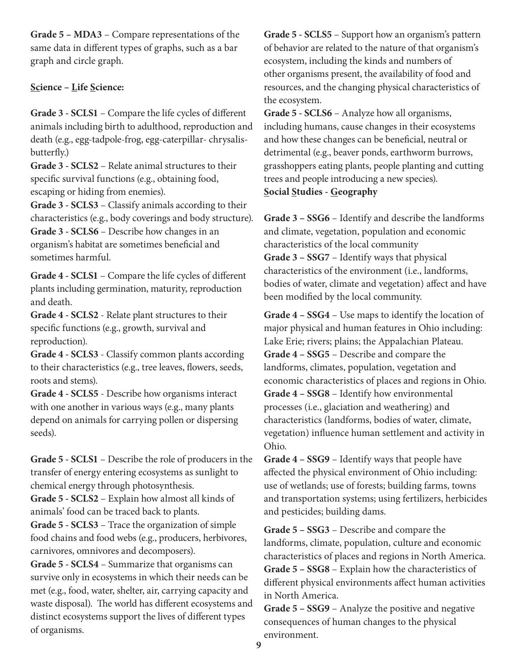**Grade 5 – MDA3** – Compare representations of the same data in different types of graphs, such as a bar graph and circle graph.

## **Science – Life Science:**

**Grade 3 - SCLS1** – Compare the life cycles of different animals including birth to adulthood, reproduction and death (e.g., egg-tadpole-frog, egg-caterpillar- chrysalisbutterfly.)

**Grade 3 - SCLS2** – Relate animal structures to their specific survival functions (e.g., obtaining food, escaping or hiding from enemies).

**Grade 3 - SCLS3** – Classify animals according to their characteristics (e.g., body coverings and body structure). **Grade 3 - SCLS6** – Describe how changes in an

organism's habitat are sometimes beneficial and sometimes harmful.

**Grade 4 - SCLS1** – Compare the life cycles of different plants including germination, maturity, reproduction and death.

**Grade 4 - SCLS2** - Relate plant structures to their specific functions (e.g., growth, survival and reproduction).

**Grade 4 - SCLS3** - Classify common plants according to their characteristics (e.g., tree leaves, flowers, seeds, roots and stems).

**Grade 4 - SCLS5** - Describe how organisms interact with one another in various ways (e.g., many plants depend on animals for carrying pollen or dispersing seeds).

**Grade 5 - SCLS1** – Describe the role of producers in the transfer of energy entering ecosystems as sunlight to chemical energy through photosynthesis.

**Grade 5 - SCLS2** – Explain how almost all kinds of animals' food can be traced back to plants.

**Grade 5 - SCLS3** – Trace the organization of simple food chains and food webs (e.g., producers, herbivores, carnivores, omnivores and decomposers).

**Grade 5 - SCLS4** – Summarize that organisms can survive only in ecosystems in which their needs can be met (e.g., food, water, shelter, air, carrying capacity and waste disposal). The world has different ecosystems and distinct ecosystems support the lives of different types of organisms.

**Grade 5 - SCLS5** – Support how an organism's pattern of behavior are related to the nature of that organism's ecosystem, including the kinds and numbers of other organisms present, the availability of food and resources, and the changing physical characteristics of the ecosystem.

**Grade 5 - SCLS6** – Analyze how all organisms, including humans, cause changes in their ecosystems and how these changes can be beneficial, neutral or detrimental (e.g., beaver ponds, earthworm burrows, grasshoppers eating plants, people planting and cutting trees and people introducing a new species). **Social Studies - Geography**

**Grade 3 – SSG6** – Identify and describe the landforms and climate, vegetation, population and economic characteristics of the local community **Grade 3 – SSG7** – Identify ways that physical characteristics of the environment (i.e., landforms, bodies of water, climate and vegetation) affect and have been modified by the local community.

**Grade 4 – SSG4** – Use maps to identify the location of major physical and human features in Ohio including: Lake Erie; rivers; plains; the Appalachian Plateau. **Grade 4 – SSG5** – Describe and compare the landforms, climates, population, vegetation and economic characteristics of places and regions in Ohio. **Grade 4 – SSG8** – Identify how environmental processes (i.e., glaciation and weathering) and characteristics (landforms, bodies of water, climate, vegetation) influence human settlement and activity in Ohio.

**Grade 4 – SSG9** – Identify ways that people have affected the physical environment of Ohio including: use of wetlands; use of forests; building farms, towns and transportation systems; using fertilizers, herbicides and pesticides; building dams.

**Grade 5 – SSG3** – Describe and compare the landforms, climate, population, culture and economic characteristics of places and regions in North America. **Grade 5 – SSG8** – Explain how the characteristics of different physical environments affect human activities in North America.

**Grade 5 – SSG9** – Analyze the positive and negative consequences of human changes to the physical environment.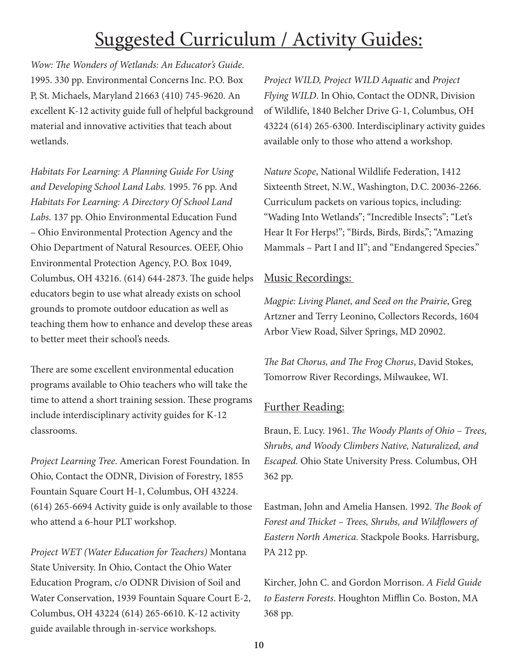# Suggested Curriculum / Activity Guides:

*Wow: The Wonders of Wetlands: An Educator's Guide*. 1995. 330 pp. Environmental Concerns Inc. P.O. Box P, St. Michaels, Maryland 21663 (410) 745-9620. An excellent K-12 activity guide full of helpful background material and innovative activities that teach about wetlands.

*Habitats For Learning: A Planning Guide For Using and Developing School Land Labs.* 1995. 76 pp. And *Habitats For Learning: A Directory Of School Land Labs.* 137 pp. Ohio Environmental Education Fund – Ohio Environmental Protection Agency and the Ohio Department of Natural Resources. OEEF, Ohio Environmental Protection Agency, P.O. Box 1049, Columbus, OH 43216. (614) 644-2873. The guide helps educators begin to use what already exists on school grounds to promote outdoor education as well as teaching them how to enhance and develop these areas to better meet their school's needs.

There are some excellent environmental education programs available to Ohio teachers who will take the time to attend a short training session. These programs include interdisciplinary activity guides for K-12 classrooms.

*Project Learning Tree*. American Forest Foundation. In Ohio, Contact the ODNR, Division of Forestry, 1855 Fountain Square Court H-1, Columbus, OH 43224. (614) 265-6694 Activity guide is only available to those who attend a 6-hour PLT workshop.

*Project WET (Water Education for Teachers)* Montana State University. In Ohio, Contact the Ohio Water Education Program, c/o ODNR Division of Soil and Water Conservation, 1939 Fountain Square Court E-2, Columbus, OH 43224 (614) 265-6610. K-12 activity guide available through in-service workshops.

*Project WILD, Project WILD Aquatic* and *Project Flying WILD*. In Ohio, Contact the ODNR, Division of Wildlife, 1840 Belcher Drive G-1, Columbus, OH 43224 (614) 265-6300. Interdisciplinary activity guides available only to those who attend a workshop.

*Nature Scope*, National Wildlife Federation, 1412 Sixteenth Street, N.W., Washington, D.C. 20036-2266. Curriculum packets on various topics, including: "Wading Into Wetlands"; "Incredible Insects"; "Let's Hear It For Herps!"; "Birds, Birds, Birds,"; "Amazing Mammals – Part I and II"; and "Endangered Species."

## Music Recordings:

*Magpie: Living Planet, and Seed on the Prairie*, Greg Artzner and Terry Leonino, Collectors Records, 1604 Arbor View Road, Silver Springs, MD 20902.

*The Bat Chorus, and The Frog Chorus*, David Stokes, Tomorrow River Recordings, Milwaukee, WI.

## Further Reading:

Braun, E. Lucy. 1961. *The Woody Plants of Ohio – Trees, Shrubs, and Woody Climbers Native, Naturalized, and Escaped.* Ohio State University Press. Columbus, OH 362 pp.

Eastman, John and Amelia Hansen. 1992. *The Book of Forest and Thicket – Trees, Shrubs, and Wildflowers of Eastern North America.* Stackpole Books. Harrisburg, PA 212 pp.

Kircher, John C. and Gordon Morrison. *A Field Guide to Eastern Forests*. Houghton Mifflin Co. Boston, MA 368 pp.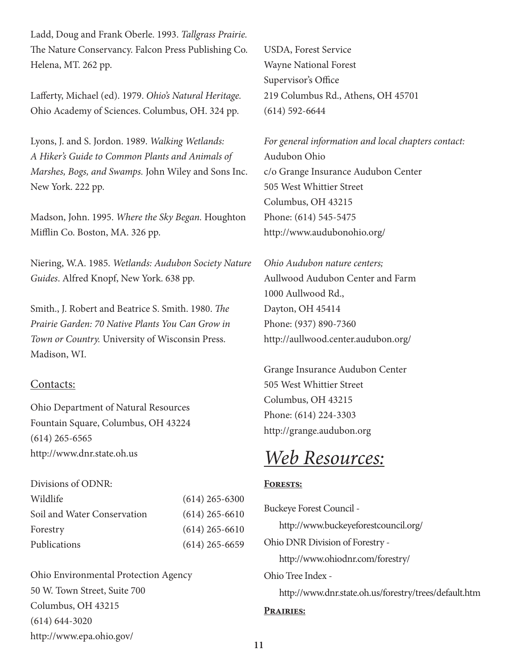Ladd, Doug and Frank Oberle. 1993. *Tallgrass Prairie.* The Nature Conservancy. Falcon Press Publishing Co. Helena, MT. 262 pp.

Lafferty, Michael (ed). 1979. *Ohio's Natural Heritage.* Ohio Academy of Sciences. Columbus, OH. 324 pp.

Lyons, J. and S. Jordon. 1989. *Walking Wetlands: A Hiker's Guide to Common Plants and Animals of Marshes, Bogs, and Swamps.* John Wiley and Sons Inc. New York. 222 pp.

Madson, John. 1995. *Where the Sky Began.* Houghton Mifflin Co. Boston, MA. 326 pp.

Niering, W.A. 1985. *Wetlands: Audubon Society Nature Guides*. Alfred Knopf, New York. 638 pp.

Smith., J. Robert and Beatrice S. Smith. 1980. *The Prairie Garden: 70 Native Plants You Can Grow in Town or Country.* University of Wisconsin Press. Madison, WI.

#### Contacts:

Ohio Department of Natural Resources Fountain Square, Columbus, OH 43224 (614) 265-6565 http://www.dnr.state.oh.us

#### Divisions of ODNR:

| Wildlife                    | $(614)$ 265-6300 |
|-----------------------------|------------------|
| Soil and Water Conservation | $(614)$ 265-6610 |
| Forestry                    | $(614)$ 265-6610 |
| Publications                | $(614)$ 265-6659 |

Ohio Environmental Protection Agency 50 W. Town Street, Suite 700 Columbus, OH 43215 (614) 644-3020 http://www.epa.ohio.gov/

USDA, Forest Service Wayne National Forest Supervisor's Office 219 Columbus Rd., Athens, OH 45701 (614) 592-6644

*For general information and local chapters contact:* Audubon Ohio c/o Grange Insurance Audubon Center 505 West Whittier Street Columbus, OH 43215 Phone: (614) 545-5475 http://www.audubonohio.org/

*Ohio Audubon nature centers;* Aullwood Audubon Center and Farm 1000 Aullwood Rd., Dayton, OH 45414 Phone: (937) 890-7360 http://aullwood.center.audubon.org/

Grange Insurance Audubon Center 505 West Whittier Street Columbus, OH 43215 Phone: (614) 224-3303 http://grange.audubon.org

# *Web Resources:*

#### **Forests:**

Buckeye Forest Council http://www.buckeyeforestcouncil.org/ Ohio DNR Division of Forestry http://www.ohiodnr.com/forestry/ Ohio Tree Index http://www.dnr.state.oh.us/forestry/trees/default.htm **Prairies:**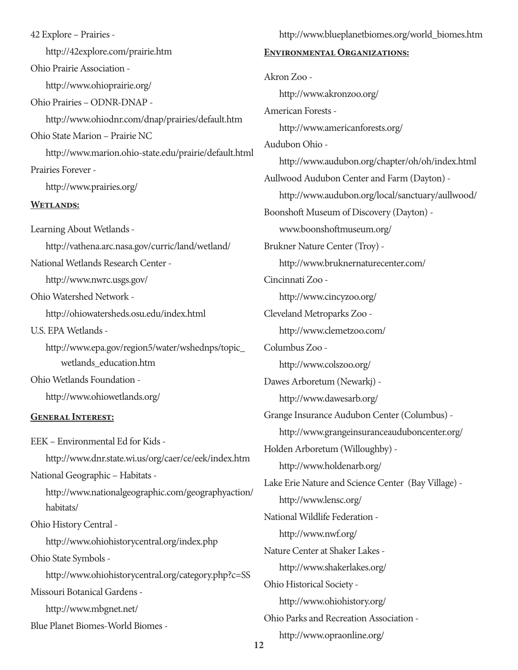42 Explore – Prairies http://42explore.com/prairie.htm Ohio Prairie Association http://www.ohioprairie.org/ Ohio Prairies – ODNR-DNAP http://www.ohiodnr.com/dnap/prairies/default.htm Ohio State Marion – Prairie NC http://www.marion.ohio-state.edu/prairie/default.html Prairies Forever http://www.prairies.org/ **Wetlands:** Learning About Wetlands http://vathena.arc.nasa.gov/curric/land/wetland/ National Wetlands Research Center http://www.nwrc.usgs.gov/ Ohio Watershed Network http://ohiowatersheds.osu.edu/index.html U.S. EPA Wetlands http://www.epa.gov/region5/water/wshednps/topic\_ wetlands\_education.htm Ohio Wetlands Foundation http://www.ohiowetlands.org/ **General Interest:** EEK – Environmental Ed for Kids http://www.dnr.state.wi.us/org/caer/ce/eek/index.htm National Geographic – Habitats http://www.nationalgeographic.com/geographyaction/ habitats/ Ohio History Central http://www.ohiohistorycentral.org/index.php Ohio State Symbols http://www.ohiohistorycentral.org/category.php?c=SS Missouri Botanical Gardens http://www.mbgnet.net/

Blue Planet Biomes-World Biomes -

**Environmental Organizations:** Akron Zoo http://www.akronzoo.org/ American Forests http://www.americanforests.org/ Audubon Ohio http://www.audubon.org/chapter/oh/oh/index.html Aullwood Audubon Center and Farm (Dayton) http://www.audubon.org/local/sanctuary/aullwood/ Boonshoft Museum of Discovery (Dayton) www.boonshoftmuseum.org/ Brukner Nature Center (Troy) http://www.bruknernaturecenter.com/ Cincinnati Zoo http://www.cincyzoo.org/ Cleveland Metroparks Zoo http://www.clemetzoo.com/ Columbus Zoo http://www.colszoo.org/ Dawes Arboretum (Newarkj) http://www.dawesarb.org/ Grange Insurance Audubon Center (Columbus) http://www.grangeinsuranceauduboncenter.org/ Holden Arboretum (Willoughby) http://www.holdenarb.org/ Lake Erie Nature and Science Center (Bay Village) http://www.lensc.org/ National Wildlife Federation http://www.nwf.org/ Nature Center at Shaker Lakes http://www.shakerlakes.org/ Ohio Historical Society http://www.ohiohistory.org/ Ohio Parks and Recreation Association http://www.opraonline.org/

http://www.blueplanetbiomes.org/world\_biomes.htm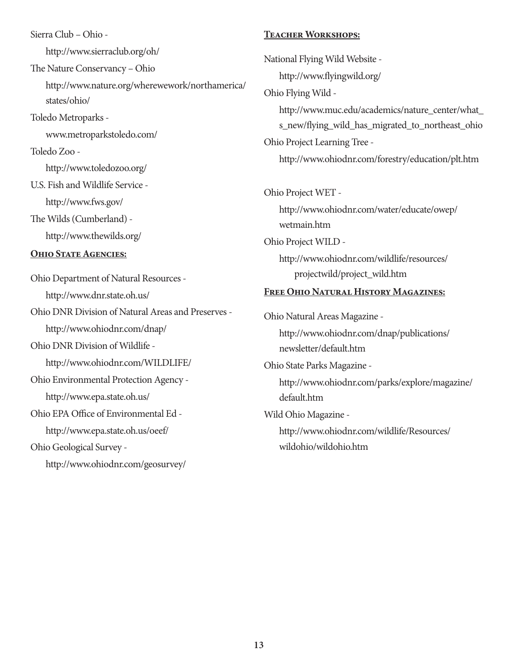Sierra Club – Ohio http://www.sierraclub.org/oh/ The Nature Conservancy – Ohio http://www.nature.org/wherewework/northamerica/ states/ohio/ Toledo Metroparks www.metroparkstoledo.com/ Toledo Zoo http://www.toledozoo.org/ U.S. Fish and Wildlife Service http://www.fws.gov/ The Wilds (Cumberland) http://www.thewilds.org/ **Ohio State Agencies:** Ohio Department of Natural Resources http://www.dnr.state.oh.us/ Ohio DNR Division of Natural Areas and Preserves http://www.ohiodnr.com/dnap/ Ohio DNR Division of Wildlife http://www.ohiodnr.com/WILDLIFE/ Ohio Environmental Protection Agency http://www.epa.state.oh.us/ Ohio EPA Office of Environmental Ed http://www.epa.state.oh.us/oeef/ Ohio Geological Survey -

http://www.ohiodnr.com/geosurvey/

#### **Teacher Workshops:**

National Flying Wild Website http://www.flyingwild.org/ Ohio Flying Wild http://www.muc.edu/academics/nature\_center/what\_ s\_new/flying\_wild\_has\_migrated\_to\_northeast\_ohio Ohio Project Learning Tree http://www.ohiodnr.com/forestry/education/plt.htm Ohio Project WET http://www.ohiodnr.com/water/educate/owep/ wetmain.htm Ohio Project WILD http://www.ohiodnr.com/wildlife/resources/ projectwild/project\_wild.htm **Free Ohio Natural History Magazines:** Ohio Natural Areas Magazine http://www.ohiodnr.com/dnap/publications/ newsletter/default.htm Ohio State Parks Magazine http://www.ohiodnr.com/parks/explore/magazine/ default.htm Wild Ohio Magazine http://www.ohiodnr.com/wildlife/Resources/ wildohio/wildohio.htm